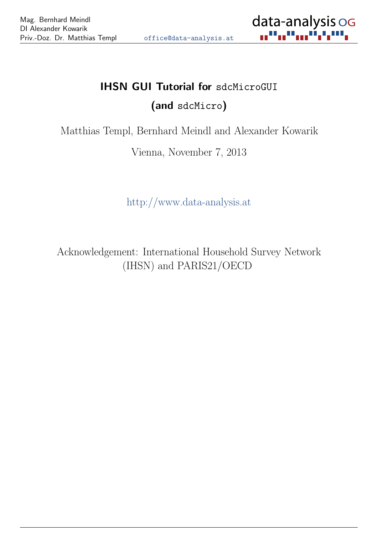

# IHSN GUI Tutorial for sdcMicroGUI (and sdcMicro)

Matthias Templ, Bernhard Meindl and Alexander Kowarik

Vienna, November 7, 2013

<http://www.data-analysis.at>

Acknowledgement: International Household Survey Network (IHSN) and PARIS21/OECD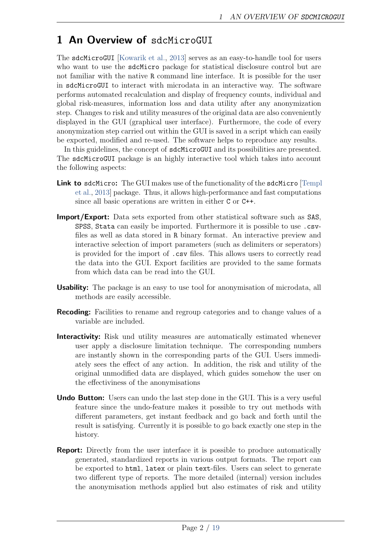# 1 An Overview of sdcMicroGUI

The sdcMicroGUI [\[Kowarik et al.,](#page-18-0) [2013\]](#page-18-0) serves as an easy-to-handle tool for users who want to use the sdcMicro package for statistical disclosure control but are not familiar with the native R command line interface. It is possible for the user in sdcMicroGUI to interact with microdata in an interactive way. The software performs automated recalculation and display of frequency counts, individual and global risk-measures, information loss and data utility after any anonymization step. Changes to risk and utility measures of the original data are also conveniently displayed in the GUI (graphical user interface). Furthermore, the code of every anonymization step carried out within the GUI is saved in a script which can easily be exported, modified and re-used. The software helps to reproduce any results.

In this guidelines, the concept of sdcMicroGUI and its possibilities are presented. The sdcMicroGUI package is an highly interactive tool which takes into account the following aspects:

- Link to sdcMicro: The GUI makes use of the functionality of the sdcMicro [\[Templ](#page-18-1) [et al.,](#page-18-1) [2013\]](#page-18-1) package. Thus, it allows high-performance and fast computations since all basic operations are written in either C or C++.
- Import/Export: Data sets exported from other statistical software such as SAS, SPSS, Stata can easily be imported. Furthermore it is possible to use .csvfiles as well as data stored in R binary format. An interactive preview and interactive selection of import parameters (such as delimiters or seperators) is provided for the import of .csv files. This allows users to correctly read the data into the GUI. Export facilities are provided to the same formats from which data can be read into the GUI.
- Usability: The package is an easy to use tool for anonymisation of microdata, all methods are easily accessible.
- **Recoding:** Facilities to rename and regroup categories and to change values of a variable are included.
- Interactivity: Risk und utility measures are automatically estimated whenever user apply a disclosure limitation technique. The corresponding numbers are instantly shown in the corresponding parts of the GUI. Users immediately sees the effect of any action. In addition, the risk and utility of the original unmodified data are displayed, which guides somehow the user on the effectiviness of the anonymisations
- **Undo Button:** Users can undo the last step done in the GUI. This is a very useful feature since the undo-feature makes it possible to try out methods with different parameters, get instant feedback and go back and forth until the result is satisfying. Currently it is possible to go back exactly one step in the history.
- **Report:** Directly from the user interface it is possible to produce automatically generated, standardized reports in various output formats. The report can be exported to html, latex or plain text-files. Users can select to generate two different type of reports. The more detailed (internal) version includes the anonymisation methods applied but also estimates of risk and utility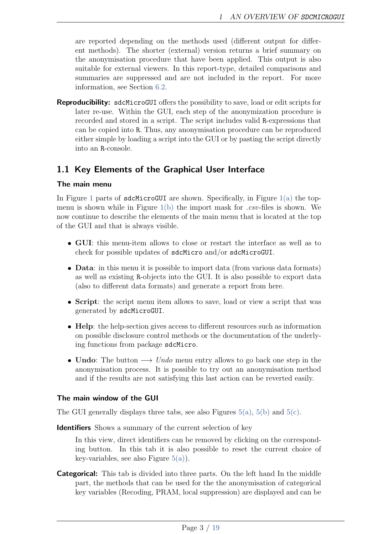are reported depending on the methods used (different output for different methods). The shorter (external) version returns a brief summary on the anonymisation procedure that have been applied. This output is also suitable for external viewers. In this report-type, detailed comparisons and summaries are suppressed and are not included in the report. For more information, see Section [6.2.](#page-12-0)

Reproducibility: sdcMicroGUI offers the possibility to save, load or edit scripts for later re-use. Within the GUI, each step of the anonymization procedure is recorded and stored in a script. The script includes valid R-expressions that can be copied into R. Thus, any anonymisation procedure can be reproduced either simple by loading a script into the GUI or by pasting the script directly into an R-console.

#### <span id="page-2-0"></span>1.1 Key Elements of the Graphical User Interface

#### The main menu

In Figure [1](#page-4-0) parts of  $sdchicroGUI$  are shown. Specifically, in Figure [1\(a\)](#page-4-1) the topmenu is shown while in Figure  $1(b)$  the import mask for .csv-files is shown. We now continue to describe the elements of the main menu that is located at the top of the GUI and that is always visible.

- ❼ GUI: this menu-item allows to close or restart the interface as well as to check for possible updates of sdcMicro and/or sdcMicroGUI.
- **Data**: in this menu it is possible to import data (from various data formats) as well as existing R-objects into the GUI. It is also possible to export data (also to different data formats) and generate a report from here.
- Script: the script menu item allows to save, load or view a script that was generated by sdcMicroGUI.
- Help: the help-section gives access to different resources such as information on possible disclosure control methods or the documentation of the underlying functions from package sdcMicro.
- Undo: The button  $\longrightarrow$  Undo menu entry allows to go back one step in the anonymisation process. It is possible to try out an anonymisation method and if the results are not satisfying this last action can be reverted easily.

#### <span id="page-2-1"></span>The main window of the GUI

The GUI generally displays three tabs, see also Figures  $5(a)$ ,  $5(b)$  and  $5(c)$ .

Identifiers Shows a summary of the current selection of key

In this view, direct identifiers can be removed by clicking on the corresponding button. In this tab it is also possible to reset the current choice of key-variables, see also Figure  $5(a)$ ).

**Categorical:** This tab is divided into three parts. On the left hand In the middle part, the methods that can be used for the the anonymisation of categorical key variables (Recoding, PRAM, local suppression) are displayed and can be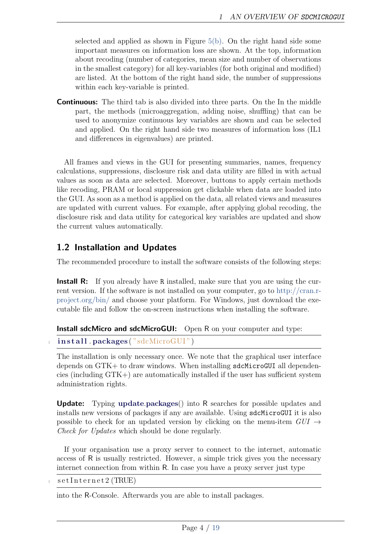selected and applied as shown in Figure  $5(b)$ . On the right hand side some important measures on information loss are shown. At the top, information about recoding (number of categories, mean size and number of observations in the smallest category) for all key-variables (for both original and modified) are listed. At the bottom of the right hand side, the number of suppressions within each key-variable is printed.

**Continuous:** The third tab is also divided into three parts. On the In the middle part, the methods (microaggregation, adding noise, shuffling) that can be used to anonymize continuous key variables are shown and can be selected and applied. On the right hand side two measures of information loss (IL1 and differences in eigenvalues) are printed.

All frames and views in the GUI for presenting summaries, names, frequency calculations, suppressions, disclosure risk and data utility are filled in with actual values as soon as data are selected. Moreover, buttons to apply certain methods like recoding, PRAM or local suppression get clickable when data are loaded into the GUI. As soon as a method is applied on the data, all related views and measures are updated with current values. For example, after applying global recoding, the disclosure risk and data utility for categorical key variables are updated and show the current values automatically.

#### <span id="page-3-0"></span>1.2 Installation and Updates

The recommended procedure to install the software consists of the following steps:

**Install R:** If you already have R installed, make sure that you are using the current version. If the software is not installed on your computer, go to [http://cran.r](http://cran.r-project.org/bin/)[project.org/bin/](http://cran.r-project.org/bin/) and choose your platform. For Windows, just download the executable file and follow the on-screen instructions when installing the software.

```
Install sdcMicro and sdcMicroGUI: Open R on your computer and type:
```

```
\textbf{install}. packages ("sdcMicroGUI")
```
The installation is only necessary once. We note that the graphical user interface depends on GTK+ to draw windows. When installing sdcMicroGUI all dependencies (including GTK+) are automatically installed if the user has sufficient system administration rights.

Update: Typing update.packages() into R searches for possible updates and installs new versions of packages if any are available. Using sdcMicroGUI it is also possible to check for an updated version by clicking on the menu-item  $GUI \rightarrow$ Check for Updates which should be done regularly.

If your organisation use a proxy server to connect to the internet, automatic access of R is usually restricted. However, a simple trick gives you the necessary internet connection from within R. In case you have a proxy server just type

 $\texttt{setInternet2} \left( \text{TRUE} \right)$ 

into the R-Console. Afterwards you are able to install packages.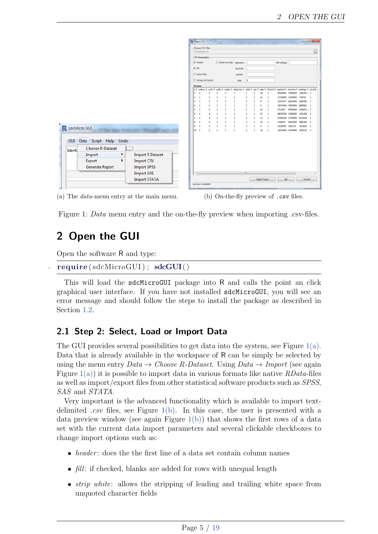<span id="page-4-1"></span>

|                  |                                         |    |                                  |                | Choose CSV-File:<br>D:\testdata.csv |                                 |                                           |                               |                                                                              |                              |                                |                      |                                |                  |                                        |                      | $\square$                      |
|------------------|-----------------------------------------|----|----------------------------------|----------------|-------------------------------------|---------------------------------|-------------------------------------------|-------------------------------|------------------------------------------------------------------------------|------------------------------|--------------------------------|----------------------|--------------------------------|------------------|----------------------------------------|----------------------|--------------------------------|
|                  |                                         |    |                                  |                | CSV-Parameters:<br>V header         |                                 |                                           |                               | blank line skip seperator:                                                   |                              |                                |                      |                                | NA-strings:      |                                        |                      |                                |
|                  |                                         |    |                                  | $\sqrt{}$ fill | strip white                         |                                 |                                           |                               | decimal:                                                                     |                              |                                |                      |                                |                  |                                        |                      |                                |
|                  |                                         |    |                                  |                |                                     |                                 |                                           |                               | quotes:                                                                      |                              |                                |                      |                                |                  |                                        |                      |                                |
|                  |                                         |    |                                  |                | strings As Factors<br>Preview:      |                                 |                                           |                               | skip:                                                                        | $\overline{0}$               |                                |                      |                                |                  |                                        |                      |                                |
|                  |                                         |    |                                  | $x +$          |                                     | urbrur 1 roof 1 walls 1 water 1 |                                           |                               | electcon 1 relat 1 sex 1 age 1 hhcivil 1 expend 1 income 1 savings 1 ori_hid |                              |                                |                      |                                |                  |                                        |                      |                                |
|                  |                                         |    |                                  |                |                                     |                                 | 3                                         | $\overline{\mathbf{3}}$       | $\mathbf{1}$                                                                 | $\mathbf{1}$                 |                                | 46                   | $\overline{2}$                 |                  | 90929693 57800000                      | 116258.5 1           |                                |
|                  |                                         |    |                                  | R              | $\overline{2}$                      | á                               | 3<br>$\overline{\phantom{a}}$             | 3<br>$\overline{\phantom{a}}$ | 1<br>$\mathbf{1}$                                                            | $\overline{\mathbf{2}}$<br>3 | $\overline{c}$<br>$\mathbf{1}$ | 41<br>$\overline{9}$ | $\overline{2}$<br>$\mathbf{1}$ |                  | 27338058 25300000<br>26524717 69200000 | 279345<br>5495381    | $\mathbf{1}$<br>$\blacksquare$ |
|                  |                                         |    |                                  |                |                                     |                                 | $\overline{\mathbf{3}}$                   | $\overline{\phantom{a}}$      | $\,$ 1                                                                       | $\overline{z}$               |                                | 6                    | <sup>1</sup>                   | 18073948         | 79600000                               | 8695862              | $\overline{1}$                 |
|                  |                                         |    |                                  |                |                                     |                                 |                                           |                               |                                                                              |                              |                                |                      |                                |                  |                                        |                      |                                |
|                  |                                         |    |                                  | 5              | $\overline{2}$                      |                                 | $\overline{2}$                            | $\overline{\phantom{a}}$      | $\mathbf{1}$                                                                 | $\overline{1}$               | 1                              | 52                   | $\overline{2}$                 | 6713247          | 90300000                               | 203620.2 2           |                                |
|                  |                                         |    |                                  | 6              | $\overline{2}$                      | $\overline{a}$                  | $\overline{2}$                            | 3                             | $\mathbf{1}$                                                                 | $\overline{2}$               | $\overline{2}$                 | 47                   | $\overline{2}$                 |                  | 49057636 32900000                      | 1021268 2            |                                |
|                  |                                         |    |                                  | R              | $\overline{2}$<br>$\overline{2}$    | 4<br>$\boldsymbol{4}$           | $\overline{2}$<br>$\overline{2}$          | $\overline{\mathbf{3}}$<br>3  | $\mathbf{1}$<br>1                                                            | 3<br>3                       | $\overline{2}$<br>2            | 13<br>19             | $\mathbf{1}$<br>$\mathbf{1}$   | 1106874          | 63386309 22700000<br>89100000          | 8119166<br>9881406 2 | $\overline{2}$                 |
|                  |                                         |    |                                  | $\overline{9}$ | $\overline{2}$<br>10 <sup>2</sup>   | 4<br>$\overline{4}$             | $\overline{\mathbf{c}}$<br>$\overline{2}$ | 3<br>$\overline{\mathbf{3}}$  | $\mathbf{1}$<br>$\mathbf{1}$                                                 | $\overline{\mathbf{3}}$<br>3 | $\mathbf{1}$<br>$\overline{c}$ | $\overline{9}$<br>16 | $\mathbf{1}$<br>$\overline{1}$ | 32659507 2087324 | 34347609 44100000                      | 7043642<br>4783134 2 | 2                              |
|                  | R sdcMicro GUI<br>Data Script Help Undo |    |                                  |                |                                     |                                 |                                           |                               |                                                                              |                              |                                |                      |                                |                  |                                        |                      |                                |
|                  | Choose R-Dataset                        |    |                                  |                |                                     |                                 |                                           |                               |                                                                              |                              |                                |                      |                                |                  |                                        |                      |                                |
|                  |                                         | Þ. | <b>Import R Dataset</b>          |                |                                     |                                 |                                           |                               |                                                                              |                              |                                |                      |                                |                  |                                        |                      |                                |
| Import<br>Export |                                         | ٠  | Import CSV<br><b>Import SPSS</b> |                |                                     |                                 |                                           |                               |                                                                              |                              |                                |                      |                                |                  |                                        |                      |                                |
|                  | Generate Report                         |    | <b>Import SAS</b>                |                |                                     |                                 |                                           |                               |                                                                              | III                          |                                |                      |                                |                  |                                        |                      |                                |

(a) The *data*-menu entry at the main menu. (b) On-the-fly preview of .csv files.

<span id="page-4-2"></span>

<span id="page-4-0"></span>Figure 1: *Data* menu entry and the on-the-fly preview when importing .csv-files.

# 2 Open the GUI

Open the software R and type:

```
require ( sdcMicroGUI ); sdcGUI()
```
This will load the sdcMicroGUI package into R and calls the point an click graphical user interface. If you have not installed sdcMicroGUI, you will see an error message and should follow the steps to install the package as described in Section [1.2.](#page-3-0)

### 2.1 Step 2: Select, Load or Import Data

The GUI provides several possibilities to get data into the system, see Figure  $1(a)$ . Data that is already available in the workspace of R can be simply be selected by using the menu entry  $Data \rightarrow Choose$  R-Dataset. Using  $Data \rightarrow Import$  (see again Figure  $1(a)$ ) it is possible to import data in various formats like native *RData*-files as well as import/export files from other statistical software products such as SPSS, SAS and STATA.

Very important is the advanced functionality which is available to import textdelimited *csv* files, see Figure  $1(b)$ . In this case, the user is presented with a data preview window (see again Figure  $1(b)$ ) that shows the first rows of a data set with the current data import parameters and several clickable checkboxes to change import options such as:

- *header*: does the the first line of a data set contain column names
- $\bullet$  *fill*: if checked, blanks are added for rows with unequal length
- *strip white*: allows the stripping of leading and trailing white space from unquoted character fields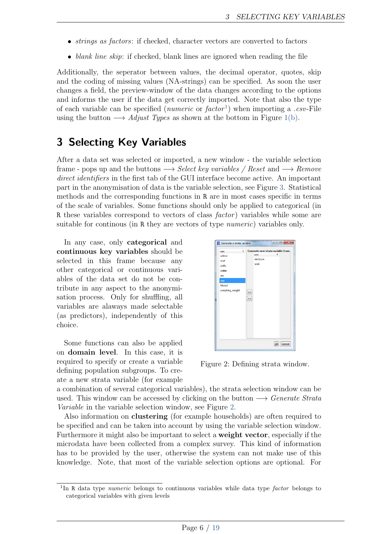- *strings as factors*: if checked, character vectors are converted to factors
- blank line skip: if checked, blank lines are ignored when reading the file

Additionally, the seperator between values, the decimal operator, quotes, skip and the coding of missing values (NA-strings) can be specified. As soon the user changes a field, the preview-window of the data changes according to the options and informs the user if the data get correctly imported. Note that also the type of each variable can be specified  $(n\iota)$  when importing a .csv-File using the button  $\longrightarrow$  Adjust Types as shown at the bottom in Figure [1\(b\).](#page-4-2)

# 3 Selecting Key Variables

After a data set was selected or imported, a new window - the variable selection frame - pops up and the buttons  $\longrightarrow$  Select key variables / Reset and  $\longrightarrow$  Remove direct identifiers in the first tab of the GUI interface become active. An important part in the anonymisation of data is the variable selection, see Figure [3.](#page-6-0) Statistical methods and the corresponding functions in R are in most cases specific in terms of the scale of variables. Some functions should only be applied to categorical (in R these variables correspond to vectors of class *factor*) variables while some are suitable for continous (in R they are vectors of type *numeric*) variables only.

In any case, only categorical and continuous key variables should be selected in this frame because any other categorical or continuous variables of the data set do not be contribute in any aspect to the anonymisation process. Only for shuffling, all variables are alaways made selectable (as predictors), independently of this choice.

Some functions can also be applied on domain level. In this case, it is required to specify or create a variable defining population subgroups. To create a new strata variable (for example

| ٠<br>vars                                                                    | Generate new strata variable from:<br>F                     |
|------------------------------------------------------------------------------|-------------------------------------------------------------|
| urbrur<br>roof<br>walls<br>water<br>sex<br>age<br>hhcivil<br>sampling_weight | vars<br>electcon<br>relat<br>$\rightarrow$<br>$\leq$ $\leq$ |
|                                                                              | OK<br>Cancel                                                |

<span id="page-5-1"></span>Figure 2: Defining strata window.

a combination of several categorical variables), the strata selection window can be used. This window can be accessed by clicking on the button  $\longrightarrow$  Generate Strata Variable in the variable selection window, see Figure [2.](#page-5-1)

Also information on clustering (for example households) are often required to be specified and can be taken into account by using the variable selection window. Furthermore it might also be important to select a weight vector, especially if the microdata have been collected from a complex survey. This kind of information has to be provided by the user, otherwise the system can not make use of this knowledge. Note, that most of the variable selection options are optional. For

<span id="page-5-0"></span><sup>&</sup>lt;sup>1</sup>In R data type *numeric* belongs to continuous variables while data type *factor* belongs to categorical variables with given levels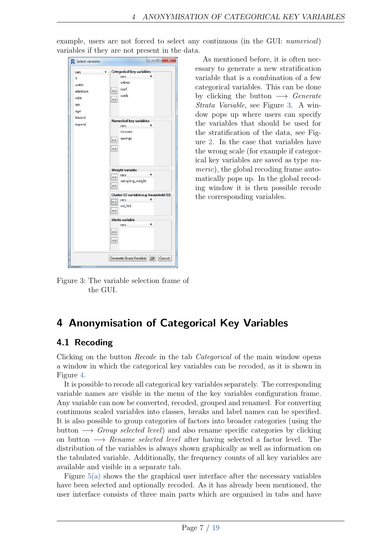| vars     | €. | <b>Categorical key variables</b>       |                |        |
|----------|----|----------------------------------------|----------------|--------|
| X        |    | vars                                   | ٠              |        |
| water    |    | urbrur                                 |                |        |
| electcon |    | roof<br>$\geq$                         |                |        |
|          |    | walls                                  |                |        |
| relat    |    | $\,$ $\,$ $\,$                         |                |        |
| sex      |    |                                        |                |        |
| age      |    |                                        |                |        |
| hhcivil  |    |                                        |                |        |
| expend   |    | Numerical key variables                | ۰              |        |
|          |    | vars                                   |                |        |
|          |    | income                                 |                |        |
|          |    | savings<br>$>\!>$                      |                |        |
|          |    | <<                                     |                |        |
|          |    |                                        |                |        |
|          |    |                                        |                |        |
|          |    |                                        |                |        |
|          |    | Weight variable-                       |                |        |
|          |    | $\mathcal{A}$<br>vars<br>$\rightarrow$ |                |        |
|          |    | sampling_weight                        |                |        |
|          |    | $\prec\prec$                           |                |        |
|          |    | Cluster ID variable(e.g. household ID) |                |        |
|          |    | vars<br>$\overline{\ket{>}}$           | ٠              |        |
|          |    | لتشتينا<br>ori_hid                     |                |        |
|          |    | <<                                     |                |        |
|          |    | Strata variable                        |                |        |
|          |    | vars                                   | $\blacksquare$ |        |
|          |    | >>                                     |                |        |
|          |    |                                        |                |        |
|          |    | $\leq$                                 |                |        |
|          |    |                                        |                |        |
|          |    | Generate Strata Variable               | OK             | Cancel |

example, users are not forced to select any continuous (in the GUI: numerical) variables if they are not present in the data.

As mentioned before, it is often necessary to generate a new stratification variable that is a combination of a few categorical variables. This can be done by clicking the button  $\longrightarrow$  Generate Strata Variable, see Figure [3.](#page-6-0) A window pops up where users can specify the variables that should be used for the stratification of the data, see Figure [2.](#page-5-1) In the case that variables have the wrong scale (for example if categorical key variables are saved as type numeric), the global recoding frame automatically pops up. In the global recoding window it is then possible recode the corresponding variables.

<span id="page-6-0"></span>Figure 3: The variable selection frame of the GUI.

#### fringilla tristique neque. Sed interdum libero ut metus. Pellentesque placerat. 4 Anonymisation of Categorical Key Variables

### egestas a, turpis. Mauris lacinia lorem sit amet ipsum. Nunc quis urna dictum 4.1 Recoding

Clicking on the button *Recode* in the tab *Categorical* of the main window opens a window in which the categorical key variables can be recoded, as it is shown in Figure [4.](#page-7-0)

It is possible to recode all categorical key variables separately. The corresponding variable names are visible in the menu of the key variables configuration frame. Any variable can now be converted, recoded, grouped and renamed. For converting continuous scaled variables into classes, breaks and label names can be specified. It is also possible to group categories of factors into broader categories (using the button  $\longrightarrow$  Group selected level) and also rename specific categories by clicking on button  $\longrightarrow$  Rename selected level after having selected a factor level. The distribution of the variables is always shown graphically as well as information on the tabulated variable. Additionally, the frequency counts of all key variables are available and visible in a separate tab.

Figure  $5(a)$  shows the the graphical user interface after the necessary variables have been selected and optionally recoded. As it has already been mentioned, the user interface consists of three main parts which are organised in tabs and have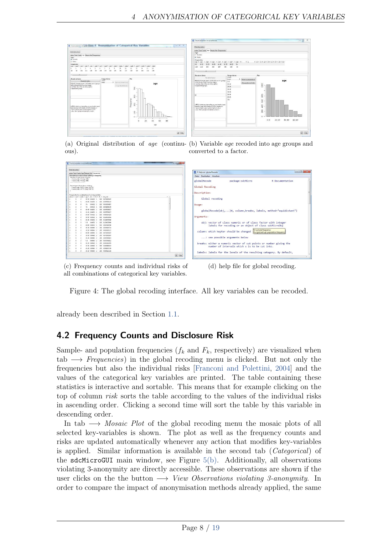

ous).

|   | Undeliast action                                                                                                                                                                                                                                                             |                |        |                   |  |                  |         |
|---|------------------------------------------------------------------------------------------------------------------------------------------------------------------------------------------------------------------------------------------------------------------------------|----------------|--------|-------------------|--|------------------|---------|
|   | urbnur roof walls age Mosaic Rot Frequencies                                                                                                                                                                                                                                 |                |        |                   |  |                  |         |
|   | Information on observations violating 3-anonymity<br>Number of observations violating<br>- 2-anonymity: 33 (orig. 144)<br>- 3-anomimity: 40 (print 243)<br><b>PERSONAL REPORTER ENGINEERS</b><br>Percentage of observations violating<br>- 2-monimity: 0.24 % (cris: 3.14 %) |                |        |                   |  |                  |         |
|   | - 3-anonymity: 1.07 % (orig. 5.41 %)<br>Frequencies for combinations of cat. key variables                                                                                                                                                                                   |                |        |                   |  |                  |         |
|   | urbnur 4. med 4. mala 4. age 4. mk. 4. fk 4. Fk. 4. hier mik                                                                                                                                                                                                                 |                |        |                   |  |                  | $1 - 1$ |
| ı | 3                                                                                                                                                                                                                                                                            | z              |        | 30-39 0.04652 1   |  | 100 0.0731565267 |         |
| ۵ | $\circ$                                                                                                                                                                                                                                                                      | $\mathfrak{g}$ |        | 60.60 0.04652 1   |  | 100 0.0575628113 |         |
| 2 | ×                                                                                                                                                                                                                                                                            | ×.             | $25 -$ | 0.0462 1          |  | 100 0.0534784097 |         |
|   | 2                                                                                                                                                                                                                                                                            | 3              | $33 -$ | $-0.04652 - 1$    |  | 100 0 0488046340 |         |
| Ï |                                                                                                                                                                                                                                                                              | g)             |        | 40-49 0.04822 1   |  | 100 0 DOSTODORUT |         |
|   | ž                                                                                                                                                                                                                                                                            | s              |        | 03-19 0.04652 1   |  | 100 0.0557000027 |         |
|   | 3                                                                                                                                                                                                                                                                            | z.             |        | 03-60 0.04852 1   |  | 100 01005243193  |         |
| ı | ë                                                                                                                                                                                                                                                                            | $\overline{3}$ |        | 93-50 0.04652 1   |  | 100 0.1624035046 |         |
|   | $\ddot{\phantom{a}}$                                                                                                                                                                                                                                                         | 3              |        | 41-49 0.04852 1   |  | 100 0.1624035945 |         |
|   | ¥                                                                                                                                                                                                                                                                            | $\overline{z}$ | 0.0    | $0.04652 - 1$     |  | 100 0.1636025046 |         |
|   | $\mathbf{z}$                                                                                                                                                                                                                                                                 | 3              |        | 60-69 0.04652 1   |  | 100 0.0465168706 |         |
|   | ä                                                                                                                                                                                                                                                                            | ö              |        | 33-30 0,00063 2   |  | 200 0.0209420724 |         |
| t | 9                                                                                                                                                                                                                                                                            | $\overline{z}$ |        | 20-29 0.00961 2   |  | 200 0.0235370327 |         |
|   | š                                                                                                                                                                                                                                                                            | $\bar{z}$      |        | 43-49 0.00063 2   |  | 200 0.0731585267 |         |
|   | 3                                                                                                                                                                                                                                                                            | z              |        | 10-19 0.00063 2   |  | 200 0.0731505267 |         |
|   | 5                                                                                                                                                                                                                                                                            | $\mathbf{z}$   |        | 20-29 0.00063 2   |  | 200 0.0379715823 |         |
|   | $\overline{\phantom{a}}$                                                                                                                                                                                                                                                     | ź              |        | $0-9$ $0.00963$ 2 |  | 300 0.0379715823 |         |
| ۵ | ×                                                                                                                                                                                                                                                                            | s              |        | 20-20 0,00063 2   |  | 200 0.0216154878 |         |
| y | ż                                                                                                                                                                                                                                                                            | z              |        | 31-29 0.00903 2   |  | 200 0.0285486543 |         |
|   |                                                                                                                                                                                                                                                                              | ×              |        | 45.49 8,00063 2   |  | 330 03064122116  |         |
| t | ×                                                                                                                                                                                                                                                                            |                |        |                   |  |                  |         |

(a) Original distribution of age (continu-(b) Variable age recoded into age groups and converted to a factor.

pk Help



(c) Frequency counts and individual risks of all combinations of categorical key variables.

(d) help file for global recoding.

<span id="page-7-0"></span>Figure 4: The global recoding interface. All key variables can be recoded.

already been described in Section [1.1.](#page-2-0)

### 4.2 Frequency Counts and Disclosure Risk

Sample- and population frequencies  $(f_k \text{ and } F_k)$ , respectively) are visualized when  $tab \longrightarrow Frequency$  in the global recoding menu is clicked. But not only the frequencies but also the individual risks [\[Franconi and Polettini,](#page-17-0) [2004\]](#page-17-0) and the values of the categorical key variables are printed. The table containing these statistics is interactive and sortable. This means that for example clicking on the top of column *risk* sorts the table according to the values of the individual risks in ascending order. Clicking a second time will sort the table by this variable in descending order.

In tab  $\longrightarrow$  Mosaic Plot of the global recoding menu the mosaic plots of all selected key-variables is shown. The plot as well as the frequency counts and risks are updated automatically whenever any action that modifies key-variables is applied. Similar information is available in the second tab (Categorical) of the sdcMicroGUI main window, see Figure [5\(b\).](#page-8-1) Additionally, all observations violating 3-anonymity are directly accessible. These observations are shown if the user clicks on the the button  $\longrightarrow$  View Observations violating 3-anonymity. In order to compare the impact of anonymisation methods already applied, the same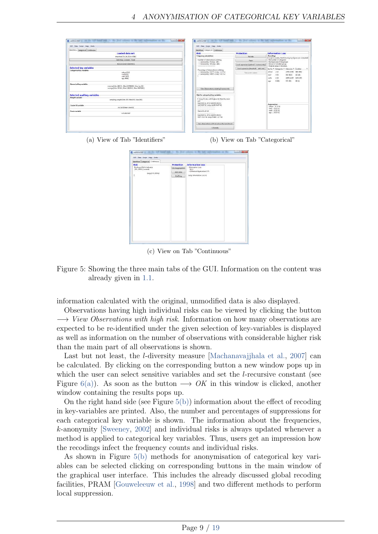<span id="page-8-0"></span>

| GUI Data Script Halp Undo                                                                                                         | Gill Data Script Halp Under                                                                                 |                                          |                                                                                                                                       |  |  |  |
|-----------------------------------------------------------------------------------------------------------------------------------|-------------------------------------------------------------------------------------------------------------|------------------------------------------|---------------------------------------------------------------------------------------------------------------------------------------|--|--|--|
| Identifiers Catagonical Continuous                                                                                                | Islantifian: Categorical Continuous:                                                                        |                                          |                                                                                                                                       |  |  |  |
| Loaded data set:                                                                                                                  | <b>Risk</b>                                                                                                 | Protection                               | Information Loss                                                                                                                      |  |  |  |
| importedCSV 14 10 [nc4580]                                                                                                        | Frequency calculations                                                                                      | Regade                                   | <b>Recodings</b><br>For each variable, the following key figures are computed:                                                        |  |  |  |
| Select key variables / Reset.                                                                                                     | Number of observations violating<br>$-2$ -anonymsty: 8 (ong. 144).                                          | Dram:                                    | the number of categories<br>the meet car of the groups.<br>the size of smallest group.<br>Original values in brackets.                |  |  |  |
| Remove direct identifiers                                                                                                         | - 3-anonymity: 30 long 248.)<br>---------------------------                                                 | Local supression (optimal - k-anonymity) |                                                                                                                                       |  |  |  |
| Selected key variables                                                                                                            | Percentage of observations violating                                                                        | Local supression (themhold - indiv.mk)   | keyVar 4 Categories 4 Mean size 4 Smallest                                                                                            |  |  |  |
| <b>Categorical key variables</b><br>urbrur (#:2)<br>roof (#15)<br>walls [#(3)<br>age (#88)                                        | - 2-anonymity: 0.17 % (orig: 3.14 %)<br>- 3-anonymity: 0.66 % (grig: 5.41 %)                                | View pram mateut                         | utine<br>$-2(2)$<br>2290 (2290) 646 (546)<br>5(5)<br>916 (916) 16 (16)<br>roof<br>$2\times$<br>walk<br>2250 (1527) 1203 (50)<br>8,083 |  |  |  |
| Numerical key variables<br>income (Min. 2897.5 . Med. 50750000 . Max 1e+08)<br>savings [Mirc 2074.6, Mad: 4082021, Mac: 0007838 ] | View Observations violating 3-anonymety                                                                     |                                          | 83 (1)<br>\$72, (\$2)<br>azer.                                                                                                        |  |  |  |
| Selected auxiliary variables<br>Weight variable                                                                                   | Risk for categorical key variables<br><b>MARKET CONTRACTOR</b>                                              |                                          |                                                                                                                                       |  |  |  |
| sampling weight (Min:100, Med:100, Med:100)                                                                                       | 0 (orig 0 ) obs. with higher risk than the main<br>part <sup>-</sup><br>Expected no. of re-identifications: |                                          | Suppressions                                                                                                                          |  |  |  |
| Cluster ID variable<br>on hid [Mean size/kb]                                                                                      | 1.2 [ 0.03 %] [mig: 11.29 [ 0.25 %]]                                                                        |                                          | sebrue - 010 %L                                                                                                                       |  |  |  |
| Strate worked                                                                                                                     | Hearchical risk                                                                                             |                                          | roof010763<br>malls  010 %                                                                                                            |  |  |  |
| not wincted                                                                                                                       | Expected no. of re-identifications:<br>6.07 [ 0.13 %] (mig \$3.44 [ 1.17 %])                                |                                          | age  0 [ 0 %]                                                                                                                         |  |  |  |
|                                                                                                                                   | New observations with risk above the benchmark.                                                             |                                          |                                                                                                                                       |  |  |  |
|                                                                                                                                   | I-Diversity                                                                                                 |                                          |                                                                                                                                       |  |  |  |

(a) View of Tab "Identifiers" (b) View on Tab "Categorical"

<span id="page-8-1"></span>

| <b>Risk</b>                                             |                   |                                   |  |
|---------------------------------------------------------|-------------------|-----------------------------------|--|
|                                                         | <b>Protection</b> | <b>Information Loss</b>           |  |
| Disclosure Risk is between:<br>$[0\%; 205\%]$ (current) | Microaggnegation  | - Information Loss<br>$0.1 - 0.0$ |  |
| feria (0 %100%)                                         | Add none          | - Difference Eigenvalues 0 %      |  |
| L.<br>c.                                                | <b>Shuffling</b>  | Toria: Information Loss: 01       |  |
|                                                         |                   |                                   |  |

<span id="page-8-2"></span>(c) View on Tab "Continuous"

Figure 5: Showing the three main tabs of the GUI. Information on the content was already given in [1.1.](#page-2-1)

information calculated with the original, unmodified data is also displayed.

Observations having high individual risks can be viewed by clicking the button  $\rightarrow$  View Observations with high risk. Information on how many observations are expected to be re-identified under the given selection of key-variables is displayed as well as information on the number of observations with considerable higher risk than the main part of all observations is shown.

Last but not least, the *l*-diversity measure Machanavajjhala et al., 2007 can be calculated. By clicking on the corresponding button a new window pops up in which the user can select sensitive variables and set the *l*-recursive constant (see Figure [6\(a\)\)](#page-9-0). As soon as the button  $\longrightarrow OK$  in this window is clicked, another window containing the results pops up.

On the right hand side (see Figure  $5(b)$ ) information about the effect of recoding in key-variables are printed. Also, the number and percentages of suppressions for each categorical key variable is shown. The information about the frequencies, *k*-anonymity [\[Sweeney,](#page-18-4) [2002\]](#page-18-4) and individual risks is always updated whenever a method is applied to categorical key variables. Thus, users get an impression how the recodings infect the frequency counts and individual risks.

As shown in Figure [5\(b\)](#page-8-1) methods for anonymisation of categorical key variables can be selected clicking on corresponding buttons in the main window of the graphical user interface. This includes the already discussed global recoding facilities, PRAM [\[Gouweleeuw et al.,](#page-18-5) [1998\]](#page-18-5) and two different methods to perform local suppression.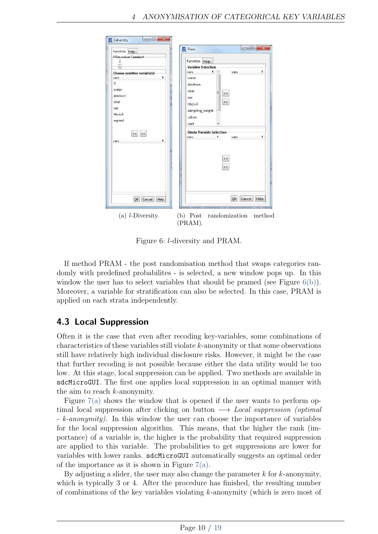<span id="page-9-0"></span>

<span id="page-9-1"></span>Figure 6: *l*-diversity and PRAM.

If method PRAM - the post randomisation method that swaps categories randomly with predefined probabilites - is selected, a new window pops up. In this window the user has to select variables that should be pramed (see Figure  $6(b)$ ). Moreover, a variable for stratification can also be selected. In this case, PRAM is applied on each strata independently.

### 4.3 Local Suppression

Often it is the case that even after recoding key-variables, some combinations of characteristics of these variables still violate *k*-anonymity or that some observations still have relatively high individual disclosure risks. However, it might be the case that further recoding is not possible because either the data utility would be too low. At this stage, local suppression can be applied. Two methods are available in sdcMicroGUI. The first one applies local suppression in an optimal manner with the aim to reach *k*-anonymity.

Figure  $7(a)$  shows the window that is opened if the user wants to perform optimal local suppression after clicking on button  $\longrightarrow$  Local suppression (optimal - k-anonymity). In this window the user can choose the importance of variables for the local suppression algorithm. This means, that the higher the rank (importance) of a variable is, the higher is the probability that required suppression are applied to this variable. The probabilities to get suppressions are lower for variables with lower ranks. sdcMicroGUI automatically suggests an optimal order of the importance as it is shown in Figure  $7(a)$ .

By adjusting a slider, the user may also change the parameter *k* for *k*-anonymity, which is typically 3 or 4. After the procedure has finished, the resulting number of combinations of the key variables violating *k*-anonymity (which is zero most of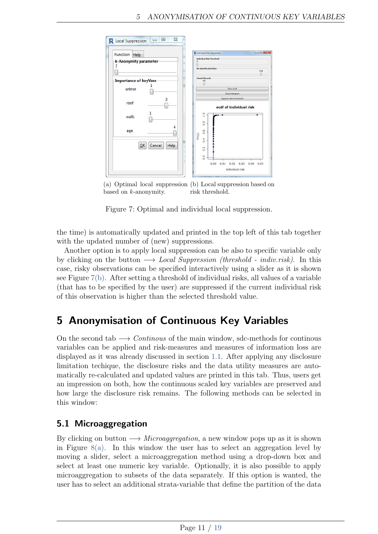<span id="page-10-0"></span>![](_page_10_Figure_1.jpeg)

<span id="page-10-1"></span>(a) Optimal local suppression (b) Local suppression based on based on *k*-anonymity. risk threshold.

Figure 7: Optimal and individual local suppression.

the time) is automatically updated and printed in the top left of this tab together with the updated number of (new) suppressions.

Another option is to apply local suppression can be also to specific variable only by clicking on the button  $\longrightarrow$  Local Suppression (threshold - indiv.risk). In this case, risky observations can be specified interactively using a slider as it is shown see Figure [7\(b\).](#page-10-1) After setting a threshold of individual risks, all values of a variable (that has to be specified by the user) are suppressed if the current individual risk of this observation is higher than the selected threshold value.

# 5 Anonymisation of Continuous Key Variables

On the second tab  $\longrightarrow$  Continuos of the main window, sdc-methods for continuous variables can be applied and risk-measures and measures of information loss are displayed as it was already discussed in section [1.1.](#page-2-0) After applying any disclosure limitation techique, the disclosure risks and the data utility measures are automatically re-calculated and updated values are printed in this tab. Thus, users get an impression on both, how the continuous scaled key variables are preserved and how large the disclosure risk remains. The following methods can be selected in this window:

## 5.1 Microaggregation

By clicking on button  $\longrightarrow$  Microaggregation, a new window pops up as it is shown in Figure  $8(a)$ . In this window the user has to select an aggregation level by moving a slider, select a microaggregation method using a drop-down box and select at least one numeric key variable. Optionally, it is also possible to apply microaggregation to subsets of the data separately. If this option is wanted, the user has to select an additional strata-variable that define the partition of the data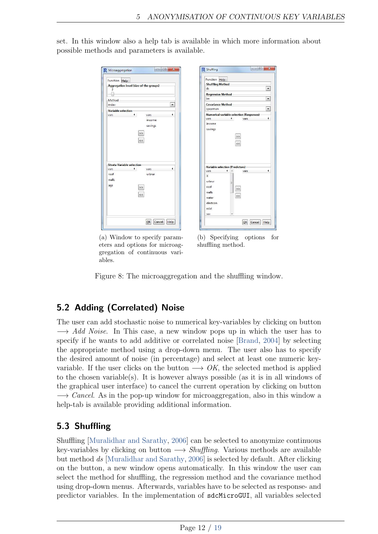<span id="page-11-0"></span>set. In this window also a help tab is available in which more information about possible methods and parameters is available.

| Function Help        |                                   | Aggregation level (size of the groups)     | Function Help<br><b>Shuffling Method</b><br>ds<br><b>Regression Method-</b>                                                |
|----------------------|-----------------------------------|--------------------------------------------|----------------------------------------------------------------------------------------------------------------------------|
| Method               |                                   |                                            | Im                                                                                                                         |
| mday                 |                                   | $\star$                                    | <b>Covariance Method</b>                                                                                                   |
| Variable selection   |                                   |                                            | spearman                                                                                                                   |
|                      |                                   | income<br>savings<br>$\,>$<br>$\prec\prec$ | vars<br>vars<br>income<br>savings<br>$\,$<br>$\prec\prec$                                                                  |
|                      | <b>Strata Variable selection-</b> |                                            |                                                                                                                            |
|                      |                                   | vars.                                      | Variable selection (Predictors)                                                                                            |
| vars                 |                                   |                                            | 4                                                                                                                          |
| roof<br>walls<br>age |                                   | urbrur<br>><br>$\,<\,$                     | vars<br>vars<br>$\mathsf{X}$<br>urbrur<br>Ξ<br>roof<br>$\,>$<br>walls<br>$\prec\prec$<br>water<br>electcon<br>relat<br>sex |

(a) Window to specify parameters and options for microaggregation of continuous variables.

<span id="page-11-1"></span>(b) Specifying options for shuffling method.

cel Help

Figure 8: The microaggregation and the shuffling window.

## 5.2 Adding (Correlated) Noise

The user can add stochastic noise to numerical key-variables by clicking on button  $\rightarrow$  Add Noise. In This case, a new window pops up in which the user has to specify if he wants to add additive or correlated noise [\[Brand,](#page-17-1) [2004\]](#page-17-1) by selecting the appropriate method using a drop-down menu. The user also has to specify the desired amount of noise (in percentage) and select at least one numeric keyvariable. If the user clicks on the button  $\longrightarrow OK$ , the selected method is applied to the chosen variable(s). It is however always possible (as it is in all windows of the graphical user interface) to cancel the current operation by clicking on button  $\rightarrow$  Cancel. As in the pop-up window for microaggregation, also in this window a help-tab is available providing additional information.

### 5.3 Shuffling

Shuffling [\[Muralidhar and Sarathy,](#page-18-6) [2006\]](#page-18-6) can be selected to anonymize continuous key-variables by clicking on button  $\longrightarrow Shuffling$ . Various methods are available but method ds [\[Muralidhar and Sarathy,](#page-18-6) [2006\]](#page-18-6) is selected by default. After clicking on the button, a new window opens automatically. In this window the user can select the method for shuffling, the regression method and the covariance method using drop-down menus. Afterwards, variables have to be selected as response- and predictor variables. In the implementation of sdcMicroGUI, all variables selected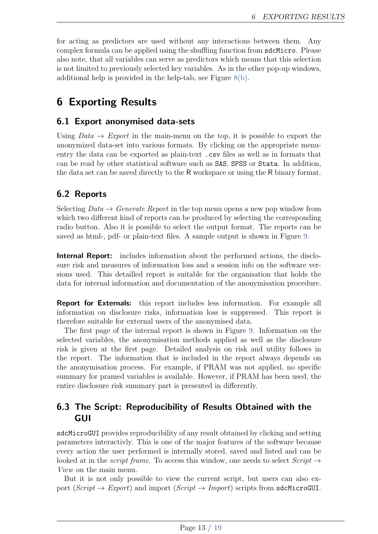for acting as predictors are used without any interactions between them. Any complex formula can be applied using the shuffling function from sdcMicro. Please also note, that all variables can serve as predictors which means that this selection is not limited to previously selected key variables. As in the other pop-up windows, additional help is provided in the help-tab, see Figure [8\(b\).](#page-11-1)

# 6 Exporting Results

#### 6.1 Export anonymised data-sets

Using  $Data \rightarrow Export$  in the main-menu on the top, it is possible to export the anonymized data-set into various formats. By clicking on the appropriate menuentry the data can be exported as plain-text .csv files as well as in formats that can be read by other statistical software such as SAS, SPSS or Stata. In addition, the data set can be saved directly to the R workspace or using the R binary format.

### <span id="page-12-0"></span>6.2 Reports

Selecting  $Data \rightarrow Generate$  Report in the top menu opens a new pop window from which two different kind of reports can be produced by selecting the corresponding radio button. Also it is possible to select the output format. The reports can be saved as html-, pdf- or plain-text files. A sample output is shown in Figure [9.](#page-13-0)

Internal Report: includes information about the performed actions, the disclosure risk and measures of information loss and a session info on the software versions used. This detailled report is suitable for the organisation that holds the data for internal information and documentation of the anonymisation procedure.

Report for Externals: this report includes less information. For example all information on disclosure risks, information loss is suppressed. This report is therefore suitable for external users of the anonymised data.

The first page of the internal report is shown in Figure [9.](#page-13-0) Information on the selected variables, the anonymisation methods applied as well as the disclosure risk is given at the first page. Detailed analysis on risk and utility follows in the report. The information that is included in the report always depends on the anonymisation process. For example, if PRAM was not applied, no specific summary for pramed variables is available. However, if PRAM has been used, the entire disclosure risk summary part is presented in differently.

#### 6.3 The Script: Reproducibility of Results Obtained with the GUI

sdcMicroGUI provides reproducibility of any result obtained by clicking and setting parameters interactivly. This is one of the major features of the software because every action the user performed is internally stored, saved and listed and can be looked at in the *script frame*. To access this window, one needs to select  $Script \rightarrow$ View on the main menu.

But it is not only possible to view the current script, but users can also export (Script  $\rightarrow$  Export) and import (Script  $\rightarrow$  Import) scripts from sdcMicroGUI.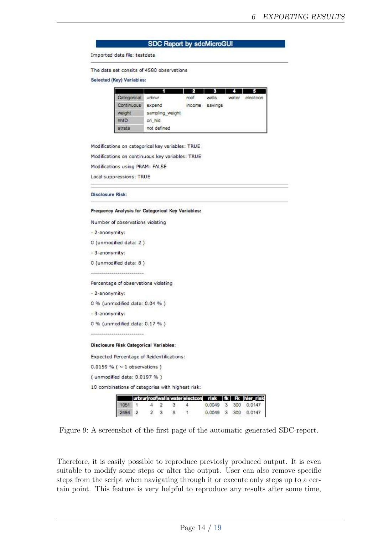#### **SDC Report by sdcMicroGUI**

Imported data file: testdata

The data set consits of 4580 observations

Selected (Key) Variables:

| Categorical       | urbrur          | roof   | walls   | water | electcon |
|-------------------|-----------------|--------|---------|-------|----------|
| <b>Continuous</b> | expend          | income | savings |       |          |
| weight.           | sampling weight |        |         |       |          |
| hhiD              | on hid          |        |         |       |          |
| strata            | not defined     |        |         |       |          |

Modifications on categorical key variables: TRUE

Modifications on continuous key variables: TRUE

Modifications using PRAM: FALSE

Local suppressions: TRUE

**Disclosure Risk:** 

Frequency Analysis for Categorical Key Variables:

| Number of observations violating                 |      |   |                |                |   |                                     |                |   |     |                     |
|--------------------------------------------------|------|---|----------------|----------------|---|-------------------------------------|----------------|---|-----|---------------------|
| - 2-anonymity:                                   |      |   |                |                |   |                                     |                |   |     |                     |
| 0 (unmodified data: 2)                           |      |   |                |                |   |                                     |                |   |     |                     |
| - 3-anonymity:                                   |      |   |                |                |   |                                     |                |   |     |                     |
| 0 (unmodified data: 8)                           |      |   |                |                |   |                                     |                |   |     |                     |
|                                                  |      |   |                |                |   |                                     |                |   |     |                     |
| Percentage of observations violating             |      |   |                |                |   |                                     |                |   |     |                     |
| - 2-anonymity:                                   |      |   |                |                |   |                                     |                |   |     |                     |
| 0 % (unmodified data: 0.04 %)                    |      |   |                |                |   |                                     |                |   |     |                     |
| -3-anonymity:                                    |      |   |                |                |   |                                     |                |   |     |                     |
| 0 % (unmodified data: 0.17 %)                    |      |   |                |                |   |                                     |                |   |     |                     |
|                                                  |      |   |                |                |   |                                     |                |   |     |                     |
| Disclosure Risk Categorical Variables:           |      |   |                |                |   |                                     |                |   |     |                     |
| Expected Percentage of Reidentifications:        |      |   |                |                |   |                                     |                |   |     |                     |
| $0.0159 \% (~1$ observations)                    |      |   |                |                |   |                                     |                |   |     |                     |
| (unmodified data: 0.0197 %)                      |      |   |                |                |   |                                     |                |   |     |                     |
| 10 combinations of categories with highest risk: |      |   |                |                |   |                                     |                |   |     |                     |
|                                                  |      |   |                |                |   |                                     |                |   |     |                     |
|                                                  | 1051 |   | 4              | $\overline{2}$ | 3 | urbrur roofwallswater electcon<br>4 | risk<br>0.0049 | 3 | 300 | hier risk<br>0.0147 |
|                                                  | 2484 | 2 | $\overline{2}$ | 3              | g |                                     | 0.0049         | 3 | 300 | 0.0147              |

<span id="page-13-0"></span>Figure 9: A screenshot of the first page of the automatic generated SDC-report.

Therefore, it is easily possible to reproduce previosly produced output. It is even suitable to modify some steps or alter the output. User can also remove specific steps from the script when navigating through it or execute only steps up to a certain point. This feature is very helpful to reproduce any results after some time,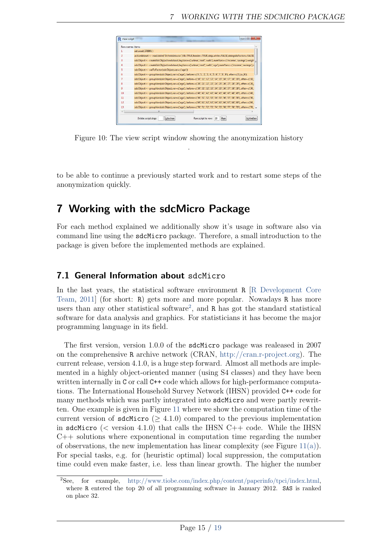![](_page_14_Figure_1.jpeg)

Figure 10: The view script window showing the anonymization history .

to be able to continue a previously started work and to restart some steps of the anonymization quickly.

## 7 Working with the sdcMicro Package

For each method explained we additionally show it's usage in software also via command line using the sdcMicro package. Therefore, a small introduction to the package is given before the implemented methods are explained.

#### 7.1 General Information about sdcMicro

In the last years, the statistical software environment R [\[R Development Core](#page-18-7) [Team,](#page-18-7) [2011\]](#page-18-7) (for short: R) gets more and more popular. Nowadays R has more users than any other statistical software<sup>[2](#page-14-0)</sup>, and R has got the standard statistical software for data analysis and graphics. For statisticians it has become the major programming language in its field.

The first version, version 1.0.0 of the sdcMicro package was realeased in 2007 on the comprehensive R archive network (CRAN, [http://cran.r-project.org\)](http://cran.r-project.org). The current release, version 4.1.0, is a huge step forward. Almost all methods are implemented in a highly object-oriented manner (using S4 classes) and they have been written internally in C or call C++ code which allows for high-performance computations. The International Household Survey Network (IHSN) provided C++ code for many methods which was partly integrated into sdcMicro and were partly rewritten. One example is given in Figure [11](#page-15-0) where we show the computation time of the current version of sdcMicro ( $\geq 4.1.0$ ) compared to the previous implementation in sdcMicro  $(<$  version 4.1.0) that calls the IHSN  $C++$  code. While the IHSN  $C_{++}$  solutions where exponentional in computation time regarding the number of observations, the new implementation has linear complexity (see Figure  $11(a)$ ). For special tasks, e.g. for (heuristic optimal) local suppression, the computation time could even make faster, i.e. less than linear growth. The higher the number

<span id="page-14-0"></span><sup>2</sup>See, for example, [http://www.tiobe.com/index.php/content/paperinfo/tpci/index.html,](http://www.tiobe.com/index.php/content/paperinfo/tpci/index.html) where R entered the top 20 of all programming software in January 2012. SAS is ranked on place 32.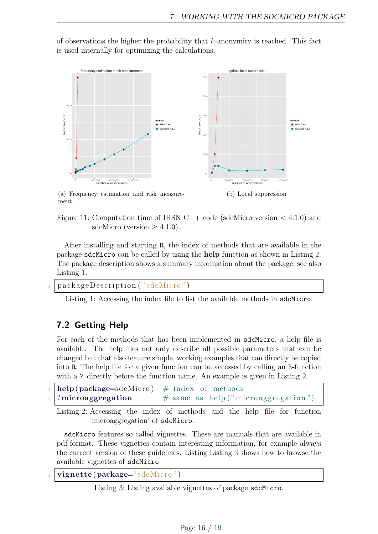of observations the higher the probability that *k*-anonymity is reached. This fact is used internally for optimizing the calculations.

<span id="page-15-1"></span>![](_page_15_Figure_2.jpeg)

(a) Frequency estimation and risk measurement.

<span id="page-15-0"></span>Figure 11: Computation time of IHSN C++ code (sdcMicro version *<* 4.1.0) and sdcMicro (version  $> 4.1.0$ ).

After installing and starting R, the index of methods that are available in the package sdcMicro can be called by using the help function as shown in Listing [2.](#page-15-2) The package description shows a summary information about the package, see also Listing [1.](#page-15-3)

```
packageDescription ("sdcMicro")
```
Listing 1: Accessing the index file to list the available methods in sdcMicro.

#### 7.2 Getting Help

For each of the methods that has been implemented in sdcMicro, a help file is available. The help files not only describe all possible parameters that can be changed but that also feature simple, working examples that can directly be copied into R. The help file for a given function can be accessed by calling an R-function with a ? directly before the function name. An example is given in Listing [2.](#page-15-2)

<span id="page-15-2"></span>

| $\Box$ help(package=sdcMicro) # index of methods |                                       |
|--------------------------------------------------|---------------------------------------|
| $_2$  ?microaggregation                          | $#$ same as help ("microaggregation") |

Listing 2: Accessing the index of methods and the help file for function 'microaggregation' of sdcMicro.

sdcMicro features so called vignettes. These are manuals that are available in pdf-format. These vignettes contain interesting information, for example always the current version of these guidelines. Listing Listing [3](#page-15-4) shows how to browse the available vignettes of sdcMicro.

<span id="page-15-4"></span> $$ 

Listing 3: Listing available vignettes of package sdcMicro.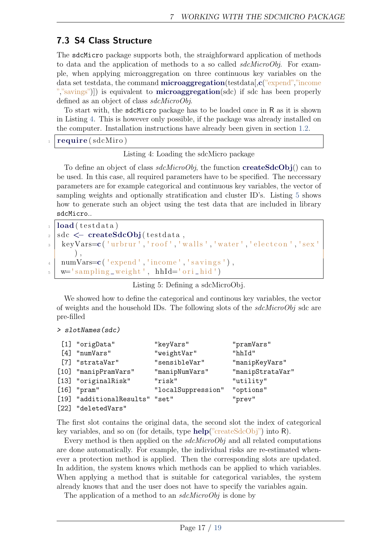### 7.3 S4 Class Structure

The sdcMicro package supports both, the straighforward application of methods to data and the application of methods to a so called sdcMicroObj. For example, when applying microaggregation on three continuous key variables on the data set testdata, the command **microaggregation**(testdata[,c("expend","income ","savings")) is equivalent to **microaggregation**(sdc) if sdc has been properly defined as an object of class sdcMicroObj.

To start with, the sdcMicro package has to be loaded once in R as it is shown in Listing [4.](#page-16-0) This is however only possible, if the package was already installed on the computer. Installation instructions have already been given in section [1.2.](#page-3-0)

<span id="page-16-0"></span>require (sdcMiro)

Listing 4: Loading the sdcMicro package

To define an object of class  $sdchicroObj$ , the function **createSdcObj**() can to be used. In this case, all required parameters have to be specified. The neccessary parameters are for example categorical and continuous key variables, the vector of sampling weights and optionally stratification and cluster ID's. Listing [5](#page-16-1) shows how to generate such an object using the test data that are included in library sdcMicro..

```
_1 load (\text{testdata})
_{2} sdc \leftarrow createSdcObj(testdata,
3 keyVars=c ('urbrur', 'roof', 'walls', 'water', 'electcon', 'sex '
        ) ,
_{4} | numVars=c ( 'expend', 'income', 'savings'),
\mathbf{w} = 'sampling \text{weight}', \text{hhId} = 'ori\_hid'
```
Listing 5: Defining a sdcMicroObj.

We showed how to define the categorical and continous key variables, the vector of weights and the household IDs. The following slots of the  $sdchicroObj$  sdc are pre-filled

```
> slotNames(sdc)
```

| [1] "origData"                 | "keyVars"          | "pramVars"       |
|--------------------------------|--------------------|------------------|
| $[4]$ "numVars"                | "weightVar"        | "hhId"           |
| [7] "strataVar"                | "sensibleVar"      | "manipKeyVars"   |
| [10] "manipPramVars"           | "manipNumVars"     | "manipStrataVar" |
| [13] "originalRisk"            | "risk"             | "utility"        |
| $[16]$ "pram"                  | "localSuppression" | "options"        |
| [19] "additionalResults" "set" |                    | "prev"           |
| [22] "deletedVars"             |                    |                  |

The first slot contains the original data, the second slot the index of categorical key variables, and so on (for details, type help("createSdcObj") into R).

Every method is then applied on the *sdcMicroObj* and all related computations are done automatically. For example, the individual risks are re-estimated whenever a protection method is applied. Then the corresponding slots are updated. In addition, the system knows which methods can be applied to which variables. When applying a method that is suitable for categorical variables, the system already knows that and the user does not have to specify the variables again.

The application of a method to an  $sdcMicroObj$  is done by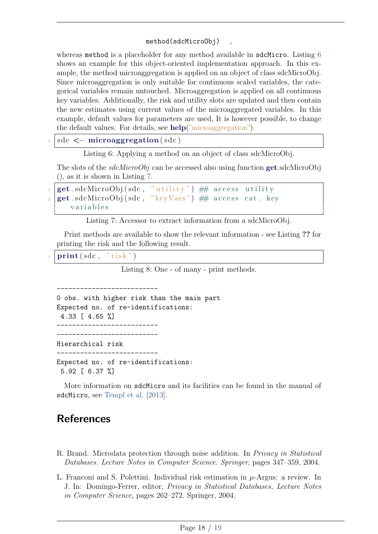#### method(sdcMicroObj) ,

whereas method is a placeholder for any method available in sdcMicro. Listing [6](#page-17-2) shows an example for this object-oriented implementation approach. In this example, the method microaggregation is applied on an object of class sdcMicroObj. Since microaggregation is only suitable for continuous scaled variables, the categorical variables remain untouched. Microaggregation is applied on all continuous key variables. Additionally, the risk and utility slots are updated and then contain the new estimates using current values of the microaggregated variables. In this example, default values for parameters are used, It is however possible, to change the default values. For details, see help("microaggregation").

<span id="page-17-2"></span>sdc  $\leq$  microaggregation (sdc)

Listing 6: Applying a method on an object of class sdcMicroObj.

The slots of the  $sdcMicroObj$  can be accessed also using function get.sdcMicroObj (), as it is shown in Listing [7.](#page-17-3)

```
\left| \mathtt{get}.\,\text{sdcMicroObj}(\,\text{sdc}\,,\, "\mathrm{utility}") \# \# \;\text{access} utility
\frac{1}{2} get sdcMicroObj (sdc, "keyVars") ## access cat . key
        v a r i a b l e s
```
Listing 7: Accessor to extract information from a sdcMicroObj.

Print methods are available to show the relevant information - see Listing ?? for printing the risk and the following result.

 $\text{print}(\text{sdc}, \text{ "risk" })$ 

Listing 8: One - of many - print methods.

0 obs. with higher risk than the main part Expected no. of re-identifications: 4.33 [ 4.65 %] -------------------------- -------------------------- Hierarchical risk -------------------------- Expected no. of re-identifications: 5.92 [ 6.37 %]

 $-$ 

More information on sdcMicro and its facilities can be found in the manual of sdcMicro, see [Templ et al.](#page-18-1) [\[2013\]](#page-18-1).

# References

- <span id="page-17-1"></span>R. Brand. Microdata protection through noise addition. In *Privacy in Statistical* Databases. Lecture Notes in Computer Science. Springer, pages 347–359, 2004.
- <span id="page-17-0"></span>L. Franconi and S. Polettini. Individual risk estimation in *µ*-Argus: a review. In J. In: Domingo-Ferrer, editor, Privacy in Statistical Databases, Lecture Notes in Computer Science, pages 262–272. Springer, 2004.